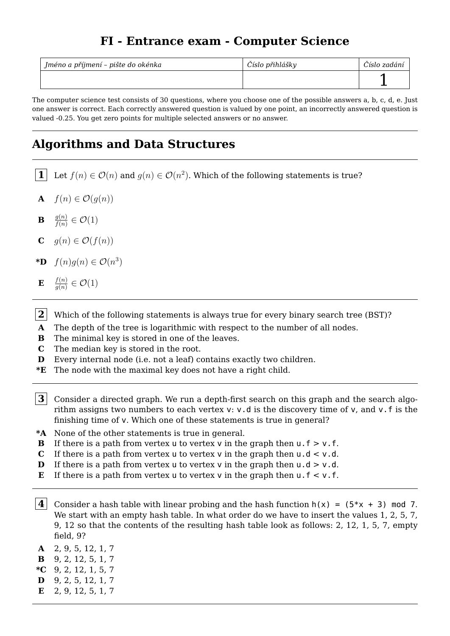## **FI - Entrance exam - Computer Science**

| Jméno a příjmení - pište do okénka | Číslo přihlášky | Císlo zadání |
|------------------------------------|-----------------|--------------|
|                                    |                 |              |

The computer science test consists of 30 questions, where you choose one of the possible answers a, b, c, d, e. Just one answer is correct. Each correctly answered question is valued by one point, an incorrectly answered question is valued -0.25. You get zero points for multiple selected answers or no answer.

## **Algorithms and Data Structures**

- **1** Let  $f(n) \in \mathcal{O}(n)$  and  $g(n) \in \mathcal{O}(n^2)$ . Which of the following statements is true?
- **A**  $f(n) \in \mathcal{O}(q(n))$
- **B**  $\frac{g(n)}{f(n)}$  $\frac{g(n)}{f(n)} \in \mathcal{O}(1)$
- **C**  $g(n) \in \mathcal{O}(f(n))$
- **\*D**  $f(n)g(n) \in \mathcal{O}(n^3)$
- **E** *f*(*n*)  $\frac{f(n)}{g(n)} \in \mathcal{O}(1)$
- **2** Which of the following statements is always true for every binary search tree (BST)?
- **A** The depth of the tree is logarithmic with respect to the number of all nodes.
- **B** The minimal key is stored in one of the leaves.
- **C** The median key is stored in the root.
- **D** Every internal node (i.e. not a leaf) contains exactly two children.
- **\*E** The node with the maximal key does not have a right child.
- $|\mathbf{3}|$  Consider a directed graph. We run a depth-first search on this graph and the search algorithm assigns two numbers to each vertex v: v.d is the discovery time of v, and v.f is the finishing time of v. Which one of these statements is true in general?
- **\*A** None of the other statements is true in general.
- **B** If there is a path from vertex u to vertex v in the graph then  $u \cdot f > v \cdot f$ .
- **C** If there is a path from vertex u to vertex v in the graph then  $u \cdot d < v \cdot d$ .
- **D** If there is a path from vertex u to vertex v in the graph then  $u \cdot d > v \cdot d$ .
- **E** If there is a path from vertex u to vertex v in the graph then  $u \cdot f \leq v \cdot f$ .
- **4** Consider a hash table with linear probing and the hash function  $h(x) = (5*x + 3) \mod 7$ . We start with an empty hash table. In what order do we have to insert the values 1, 2, 5, 7, 9, 12 so that the contents of the resulting hash table look as follows: 2, 12, 1, 5, 7, empty field, 9?
- **A** 2, 9, 5, 12, 1, 7
- **B** 9, 2, 12, 5, 1, 7
- **\*C** 9, 2, 12, 1, 5, 7
- **D** 9, 2, 5, 12, 1, 7
- **E** 2, 9, 12, 5, 1, 7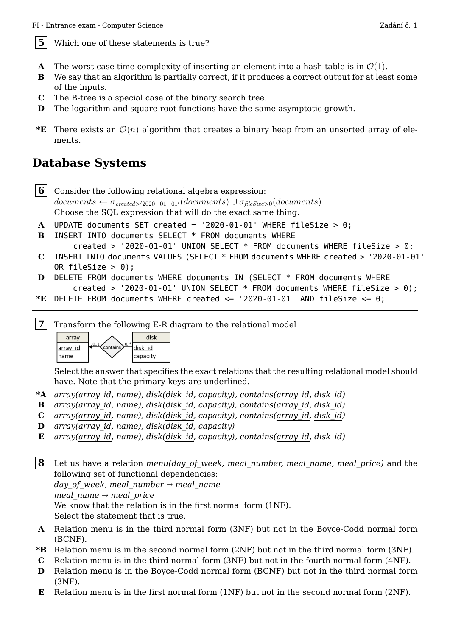**5** Which one of these statements is true?

- **A** The worst-case time complexity of inserting an element into a hash table is in  $\mathcal{O}(1)$ .
- **B** We say that an algorithm is partially correct, if it produces a correct output for at least some of the inputs.
- **C** The B-tree is a special case of the binary search tree.
- **D** The logarithm and square root functions have the same asymptotic growth.
- **\*E** There exists an  $\mathcal{O}(n)$  algorithm that creates a binary heap from an unsorted array of elements.

#### **Database Systems**

**6** Consider the following relational algebra expression:  $documents \leftarrow \sigma_{created > '2020-01-01'}(documents) \cup \sigma_{filesize > 0}(documents)$ Choose the SQL expression that will do the exact same thing. **A** UPDATE documents SET created = '2020-01-01' WHERE fileSize > 0; **B** INSERT INTO documents SELECT \* FROM documents WHERE created > '2020-01-01' UNION SELECT \* FROM documents WHERE fileSize > 0; **C** INSERT INTO documents VALUES (SELECT \* FROM documents WHERE created > '2020-01-01' OR fileSize > 0); **D** DELETE FROM documents WHERE documents IN (SELECT \* FROM documents WHERE created > '2020-01-01' UNION SELECT  $*$  FROM documents WHERE fileSize > 0);

**\*E** DELETE FROM documents WHERE created <= '2020-01-01' AND fileSize <= 0;

**7** Transform the following E-R diagram to the relational model



Select the answer that specifies the exact relations that the resulting relational model should have. Note that the primary keys are underlined.

- **\*A** *array(array\_id, name), disk(disk\_id, capacity), contains(array\_id, disk\_id)*
- **B** *array(array\_id, name), disk(disk\_id, capacity), contains(array\_id, disk\_id)*
- **C** *array(array\_id, name), disk(disk\_id, capacity), contains(array\_id, disk\_id)*
- **D** *array(array\_id, name), disk(disk\_id, capacity)*
- **E** *array(array\_id, name), disk(disk\_id, capacity), contains(array\_id, disk\_id)*
- **8** Let us have a relation *menu(day\_of\_week, meal\_number, meal\_name, meal\_price)* and the following set of functional dependencies: *day\_of\_week, meal\_number → meal\_name meal\_name → meal\_price* We know that the relation is in the first normal form (1NF). Select the statement that is true.
- **A** Relation menu is in the third normal form (3NF) but not in the Boyce-Codd normal form (BCNF).
- **\*B** Relation menu is in the second normal form (2NF) but not in the third normal form (3NF).
- **C** Relation menu is in the third normal form (3NF) but not in the fourth normal form (4NF).
- **D** Relation menu is in the Boyce-Codd normal form (BCNF) but not in the third normal form (3NF).
- **E** Relation menu is in the first normal form (1NF) but not in the second normal form (2NF).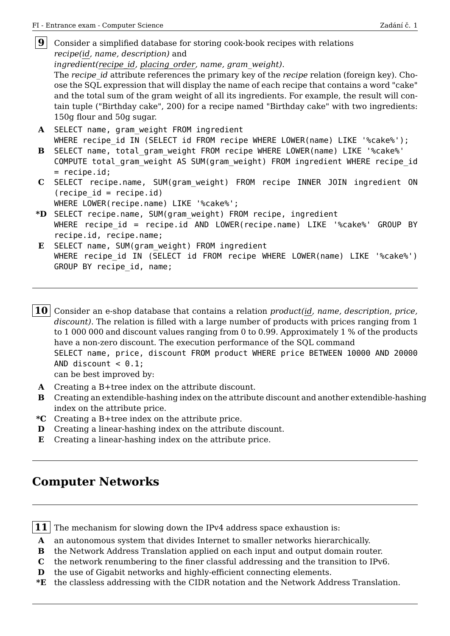| $\boldsymbol{9}$ |                                                                                                |  |  |  |
|------------------|------------------------------------------------------------------------------------------------|--|--|--|
|                  | Consider a simplified database for storing cook-book recipes with relations                    |  |  |  |
|                  | recipe(id, name, description) and                                                              |  |  |  |
|                  | ingredient(recipe id, placing order, name, gram weight).                                       |  |  |  |
|                  | The recipe id attribute references the primary key of the recipe relation (foreign key). Cho-  |  |  |  |
|                  | ose the SQL expression that will display the name of each recipe that contains a word "cake"   |  |  |  |
|                  | and the total sum of the gram weight of all its ingredients. For example, the result will con- |  |  |  |
|                  | tain tuple ("Birthday cake", 200) for a recipe named "Birthday cake" with two ingredients:     |  |  |  |
|                  | 150g flour and 50g sugar.                                                                      |  |  |  |
|                  |                                                                                                |  |  |  |
| ${\bf A}$        | SELECT name, gram_weight FROM ingredient                                                       |  |  |  |
|                  | WHERE recipe id IN (SELECT id FROM recipe WHERE LOWER(name) LIKE '%cake%');                    |  |  |  |
| $\bf{B}$         | SELECT name, total gram weight FROM recipe WHERE LOWER(name) LIKE '%cake%'                     |  |  |  |
|                  | COMPUTE total gram weight AS SUM(gram weight) FROM ingredient WHERE recipe id                  |  |  |  |
|                  | $=$ recipe.id;                                                                                 |  |  |  |
|                  | C SELECT recipe.name, SUM(gram weight) FROM recipe INNER JOIN ingredient ON                    |  |  |  |
|                  | $(recape id = recipe.id)$                                                                      |  |  |  |
|                  | WHERE LOWER(recipe.name) LIKE '%cake%';                                                        |  |  |  |
|                  | *D SELECT recipe.name, SUM(gram weight) FROM recipe, ingredient                                |  |  |  |
|                  | WHERE recipe id = recipe.id AND LOWER(recipe.name) LIKE '%cake%' GROUP BY                      |  |  |  |
|                  | recipe.id, recipe.name;                                                                        |  |  |  |
|                  |                                                                                                |  |  |  |
| $\mathbf{E}$     | SELECT name, SUM(gram weight) FROM ingredient                                                  |  |  |  |
|                  | WHERE recipe id IN (SELECT id FROM recipe WHERE LOWER(name) LIKE '%cake%')                     |  |  |  |
|                  | GROUP BY recipe id, name;                                                                      |  |  |  |

SELECT name, price, discount FROM product WHERE price BETWEEN 10000 AND 20000 AND discount  $< 0.1$ ;

can be best improved by:

- **A** Creating a B+tree index on the attribute discount.
- **B** Creating an extendible-hashing index on the attribute discount and another extendible-hashing index on the attribute price.

**10** Consider an e-shop database that contains a relation *product(id, name, description, price, discount)*. The relation is filled with a large number of products with prices ranging from 1 to 1 000 000 and discount values ranging from 0 to 0.99. Approximately 1 % of the products

have a non-zero discount. The execution performance of the SQL command

- **\*C** Creating a B+tree index on the attribute price.
- **D** Creating a linear-hashing index on the attribute discount.
- **E** Creating a linear-hashing index on the attribute price.

## **Computer Networks**

**11** The mechanism for slowing down the IPv4 address space exhaustion is:

- **A** an autonomous system that divides Internet to smaller networks hierarchically.
- **B** the Network Address Translation applied on each input and output domain router.
- **C** the network renumbering to the finer classful addressing and the transition to IPv6.
- **D** the use of Gigabit networks and highly-efficient connecting elements.
- **\*E** the classless addressing with the CIDR notation and the Network Address Translation.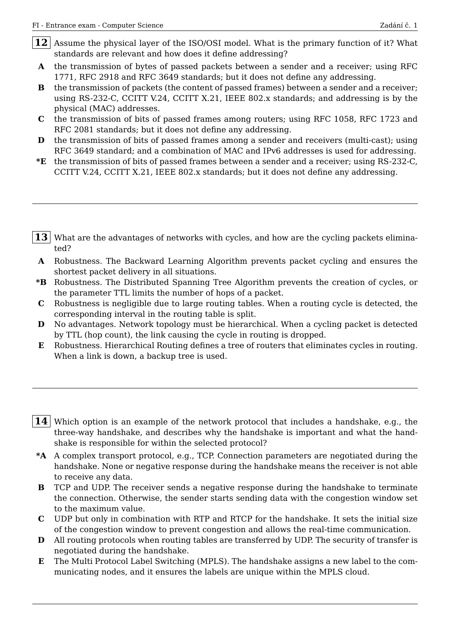- **12** Assume the physical layer of the ISO/OSI model. What is the primary function of it? What standards are relevant and how does it define addressing?
- **A** the transmission of bytes of passed packets between a sender and a receiver; using RFC 1771, RFC 2918 and RFC 3649 standards; but it does not define any addressing.
- **B** the transmission of packets (the content of passed frames) between a sender and a receiver; using RS-232-C, CCITT V.24, CCITT X.21, IEEE 802.x standards; and addressing is by the physical (MAC) addresses.
- **C** the transmission of bits of passed frames among routers; using RFC 1058, RFC 1723 and RFC 2081 standards; but it does not define any addressing.
- **D** the transmission of bits of passed frames among a sender and receivers (multi-cast); using RFC 3649 standard; and a combination of MAC and IPv6 addresses is used for addressing.
- **\*E** the transmission of bits of passed frames between a sender and a receiver; using RS-232-C, CCITT V.24, CCITT X.21, IEEE 802.x standards; but it does not define any addressing.
- **13** What are the advantages of networks with cycles, and how are the cycling packets eliminated?
- **A** Robustness. The Backward Learning Algorithm prevents packet cycling and ensures the shortest packet delivery in all situations.
- **\*B** Robustness. The Distributed Spanning Tree Algorithm prevents the creation of cycles, or the parameter TTL limits the number of hops of a packet.
- **C** Robustness is negligible due to large routing tables. When a routing cycle is detected, the corresponding interval in the routing table is split.
- **D** No advantages. Network topology must be hierarchical. When a cycling packet is detected by TTL (hop count), the link causing the cycle in routing is dropped.
- **E** Robustness. Hierarchical Routing defines a tree of routers that eliminates cycles in routing. When a link is down, a backup tree is used.
- **14** Which option is an example of the network protocol that includes a handshake, e.g., the three-way handshake, and describes why the handshake is important and what the handshake is responsible for within the selected protocol?
- **\*A** A complex transport protocol, e.g., TCP. Connection parameters are negotiated during the handshake. None or negative response during the handshake means the receiver is not able to receive any data.
- **B** TCP and UDP. The receiver sends a negative response during the handshake to terminate the connection. Otherwise, the sender starts sending data with the congestion window set to the maximum value.
- **C** UDP but only in combination with RTP and RTCP for the handshake. It sets the initial size of the congestion window to prevent congestion and allows the real-time communication.
- **D** All routing protocols when routing tables are transferred by UDP. The security of transfer is negotiated during the handshake.
- **E** The Multi Protocol Label Switching (MPLS). The handshake assigns a new label to the communicating nodes, and it ensures the labels are unique within the MPLS cloud.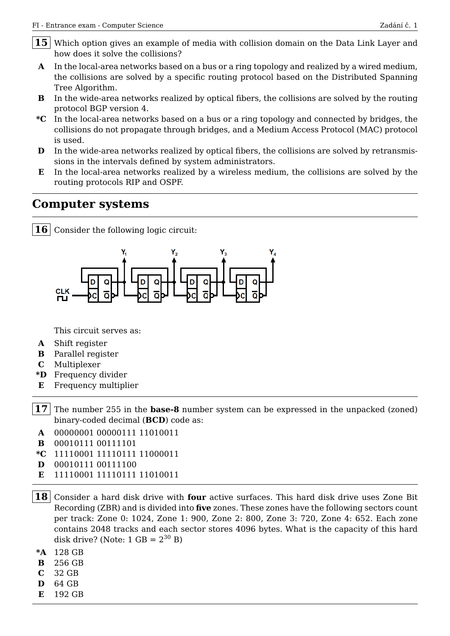- 15 Which option gives an example of media with collision domain on the Data Link Layer and how does it solve the collisions?
- **A** In the local-area networks based on a bus or a ring topology and realized by a wired medium, the collisions are solved by a specific routing protocol based on the Distributed Spanning Tree Algorithm.
- **B** In the wide-area networks realized by optical fibers, the collisions are solved by the routing protocol BGP version 4.
- **\*C** In the local-area networks based on a bus or a ring topology and connected by bridges, the collisions do not propagate through bridges, and a Medium Access Protocol (MAC) protocol is used.
- **D** In the wide-area networks realized by optical fibers, the collisions are solved by retransmissions in the intervals defined by system administrators.
- **E** In the local-area networks realized by a wireless medium, the collisions are solved by the routing protocols RIP and OSPF.

#### **Computer systems**

**16** Consider the following logic circuit:



This circuit serves as:

- **A** Shift register
- **B** Parallel register
- **C** Multiplexer
- **\*D** Frequency divider
- **E** Frequency multiplier
- **17** The number 255 in the **base-8** number system can be expressed in the unpacked (zoned) binary-coded decimal (**BCD**) code as:
- **A** 00000001 00000111 11010011
- **B** 00010111 00111101
- **\*C** 11110001 11110111 11000011
- **D** 00010111 00111100
- **E** 11110001 11110111 11010011
- **18** Consider a hard disk drive with **four** active surfaces. This hard disk drive uses Zone Bit Recording (ZBR) and is divided into **five** zones. These zones have the following sectors count per track: Zone 0: 1024, Zone 1: 900, Zone 2: 800, Zone 3: 720, Zone 4: 652. Each zone contains 2048 tracks and each sector stores 4096 bytes. What is the capacity of this hard disk drive? (Note:  $1 \text{ GB} = 2^{30} \text{ B}$ )
- **\*A** 128 GB
- **B** 256 GB
- **C** 32 GB
- **D** 64 GB
- **E** 192 GB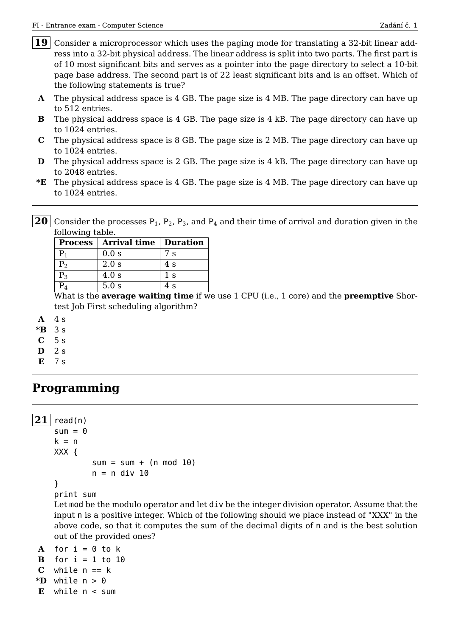- 19 Consider a microprocessor which uses the paging mode for translating a 32-bit linear address into a 32-bit physical address. The linear address is split into two parts. The first part is of 10 most significant bits and serves as a pointer into the page directory to select a 10-bit page base address. The second part is of 22 least significant bits and is an offset. Which of the following statements is true?
- **A** The physical address space is 4 GB. The page size is 4 MB. The page directory can have up to 512 entries.
- **B** The physical address space is 4 GB. The page size is 4 kB. The page directory can have up to 1024 entries.
- **C** The physical address space is 8 GB. The page size is 2 MB. The page directory can have up to 1024 entries.
- **D** The physical address space is 2 GB. The page size is 4 kB. The page directory can have up to 2048 entries.
- **\*E** The physical address space is 4 GB. The page size is 4 MB. The page directory can have up to 1024 entries.
- **20** Consider the processes  $P_1$ ,  $P_2$ ,  $P_3$ , and  $P_4$  and their time of arrival and duration given in the following table.

| <b>Process</b> | <b>Arrival time   Duration</b> |        |
|----------------|--------------------------------|--------|
| Ρ1             | 0.0 s                          | 7s     |
| P <sub>2</sub> | 2.0 s                          | 4s     |
| $\mathrm{P}_3$ | 4.0 s                          | 1 s    |
|                | 5.0 s                          | 4 s    |
| - - - -<br>- - | . .                            | $\sim$ |

What is the **average waiting time** if we use 1 CPU (i.e., 1 core) and the **preemptive** Shortest Job First scheduling algorithm?

- **A** 4 s
- **\*B** 3 s
- **C** 5 s
- **D** 2 s
- **E** 7 s

## **Programming**

```
21 read(n)
    sum = 0k = nXXX {
             sum = sum + (n mod 10)n = n div 10
    }
    print sum
    Let mod be the modulo operator and let div be the integer division operator. Assume that the
    input n is a positive integer. Which of the following should we place instead of "XXX" in the
    above code, so that it computes the sum of the decimal digits of n and is the best solution
    out of the provided ones?
```

```
A for i = 0 to k
B for i = 1 to 10
C while n == k*D while n > 0E while n < sum
```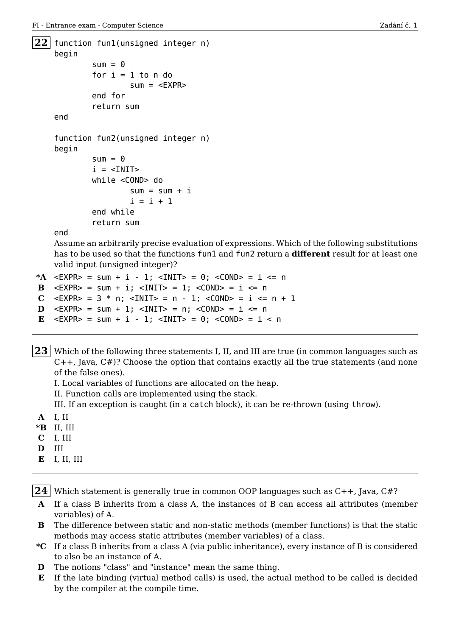```
22 function fun1(unsigned integer n)
    begin
            sum = 0for i = 1 to n do
                    sum = <EXPRend for
            return sum
    end
    function fun2(unsigned integer n)
    begin
            sum = 0i = <INIT>
            while <COND> do
                    sum = sum + ii = i + 1end while
            return sum
```
end

Assume an arbitrarily precise evaluation of expressions. Which of the following substitutions has to be used so that the functions fun1 and fun2 return a **different** result for at least one valid input (unsigned integer)?

```
*A \leq EXPR> = sum + i - 1; \leq INIT> = 0; \leq COND> = i \leq n
B \leq EXPR> = sum + i; \leqINIT> = 1; \leqCOND> = i \leq n
C \langle EXPR> = 3 * n; \langle INIT> = n - 1; \langle COND> = i \langle = n + 1
D \leq EXPR> = sum + 1; \leq INIT> = n; \leq COND> = i \leq n
E \leq EXPR> = sum + i - 1; \leq INIT> = 0; \leq COND> = i < n
```
23 Which of the following three statements I, II, and III are true (in common languages such as C++, Java, C#)? Choose the option that contains exactly all the true statements (and none of the false ones).

I. Local variables of functions are allocated on the heap.

II. Function calls are implemented using the stack.

III. If an exception is caught (in a catch block), it can be re-thrown (using throw).

- **A** I, II
- **\*B** II, III
- **C** I, III
- **D** III
- **E** I, II, III
- **24** Which statement is generally true in common OOP languages such as C++, Java, C#?
- **A** If a class B inherits from a class A, the instances of B can access all attributes (member variables) of A.
- **B** The difference between static and non-static methods (member functions) is that the static methods may access static attributes (member variables) of a class.
- **\*C** If a class B inherits from a class A (via public inheritance), every instance of B is considered to also be an instance of A.
- **D** The notions "class" and "instance" mean the same thing.
- **E** If the late binding (virtual method calls) is used, the actual method to be called is decided by the compiler at the compile time.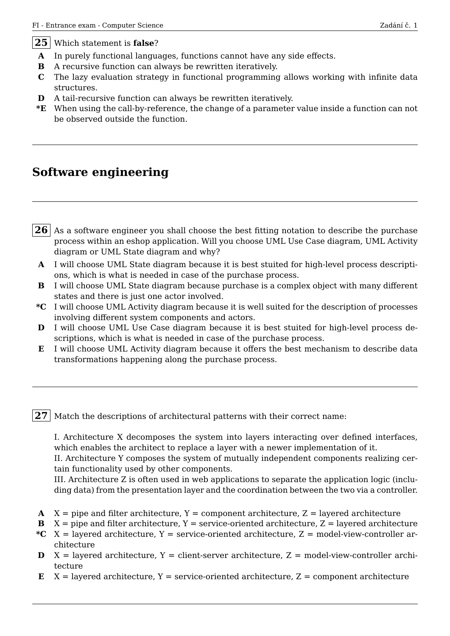- **A** In purely functional languages, functions cannot have any side effects.
- **B** A recursive function can always be rewritten iteratively.
- **C** The lazy evaluation strategy in functional programming allows working with infinite data structures.
- **D** A tail-recursive function can always be rewritten iteratively.
- **\*E** When using the call-by-reference, the change of a parameter value inside a function can not be observed outside the function.

# **Software engineering**

- **26** As a software engineer you shall choose the best fitting notation to describe the purchase process within an eshop application. Will you choose UML Use Case diagram, UML Activity diagram or UML State diagram and why?
- **A** I will choose UML State diagram because it is best stuited for high-level process descriptions, which is what is needed in case of the purchase process.
- **B** I will choose UML State diagram because purchase is a complex object with many different states and there is just one actor involved.
- **\*C** I will choose UML Activity diagram because it is well suited for the description of processes involving different system components and actors.
- **D** I will choose UML Use Case diagram because it is best stuited for high-level process descriptions, which is what is needed in case of the purchase process.
- **E** I will choose UML Activity diagram because it offers the best mechanism to describe data transformations happening along the purchase process.

**27** Match the descriptions of architectural patterns with their correct name:

I. Architecture X decomposes the system into layers interacting over defined interfaces, which enables the architect to replace a layer with a newer implementation of it.

II. Architecture Y composes the system of mutually independent components realizing certain functionality used by other components.

III. Architecture Z is often used in web applications to separate the application logic (including data) from the presentation layer and the coordination between the two via a controller.

- **A**  $X = pipe$  and filter architecture,  $Y = component$  architecture,  $Z = layer$  architecture
- **B**  $X = pipe$  and filter architecture,  $Y = service-oriented architecture$ ,  $Z = layered architecture$
- $*C X = layered architecture, Y = service-oriented architecture, Z = model-view-controler ar$ chitecture
- $\mathbf{D}$   $X =$  layered architecture,  $Y =$  client-server architecture,  $Z =$  model-view-controller architecture
- $E$   $X$  = layered architecture,  $Y$  = service-oriented architecture,  $Z$  = component architecture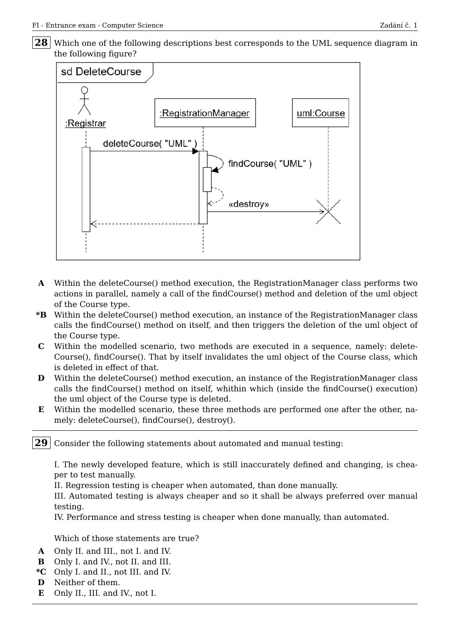28 Which one of the following descriptions best corresponds to the UML sequence diagram in the following figure?



- **A** Within the deleteCourse() method execution, the RegistrationManager class performs two actions in parallel, namely a call of the findCourse() method and deletion of the uml object of the Course type.
- **\*B** Within the deleteCourse() method execution, an instance of the RegistrationManager class calls the findCourse() method on itself, and then triggers the deletion of the uml object of the Course type.
- **C** Within the modelled scenario, two methods are executed in a sequence, namely: delete-Course(), findCourse(). That by itself invalidates the uml object of the Course class, which is deleted in effect of that.
- **D** Within the deleteCourse() method execution, an instance of the RegistrationManager class calls the findCourse() method on itself, whithin which (inside the findCourse() execution) the uml object of the Course type is deleted.
- **E** Within the modelled scenario, these three methods are performed one after the other, namely: deleteCourse(), findCourse(), destroy().

**29** Consider the following statements about automated and manual testing:

I. The newly developed feature, which is still inaccurately defined and changing, is cheaper to test manually.

II. Regression testing is cheaper when automated, than done manually.

III. Automated testing is always cheaper and so it shall be always preferred over manual testing.

IV. Performance and stress testing is cheaper when done manually, than automated.

Which of those statements are true?

- **A** Only II. and III., not I. and IV.
- **B** Only I. and IV., not II. and III.
- **\*C** Only I. and II., not III. and IV.
- **D** Neither of them.
- **E** Only II., III. and IV., not I.